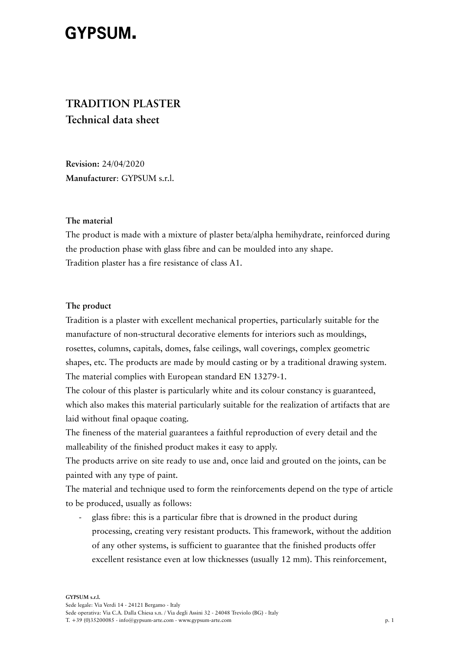# **GYPSUM.**

# **TRADITION PLASTER Technical data sheet**

**Revision:** 24/04/2020 **Manufacturer**: GYPSUM s.r.l.

# **The material**

The product is made with a mixture of plaster beta/alpha hemihydrate, reinforced during the production phase with glass fibre and can be moulded into any shape. Tradition plaster has a fire resistance of class A1.

# **The product**

Tradition is a plaster with excellent mechanical properties, particularly suitable for the manufacture of non-structural decorative elements for interiors such as mouldings, rosettes, columns, capitals, domes, false ceilings, wall coverings, complex geometric shapes, etc. The products are made by mould casting or by a traditional drawing system. The material complies with European standard EN 13279-1.

The colour of this plaster is particularly white and its colour constancy is guaranteed, which also makes this material particularly suitable for the realization of artifacts that are laid without final opaque coating.

The fineness of the material guarantees a faithful reproduction of every detail and the malleability of the finished product makes it easy to apply.

The products arrive on site ready to use and, once laid and grouted on the joints, can be painted with any type of paint.

The material and technique used to form the reinforcements depend on the type of article to be produced, usually as follows:

- glass fibre: this is a particular fibre that is drowned in the product during processing, creating very resistant products. This framework, without the addition of any other systems, is sufficient to guarantee that the finished products offer excellent resistance even at low thicknesses (usually 12 mm). This reinforcement,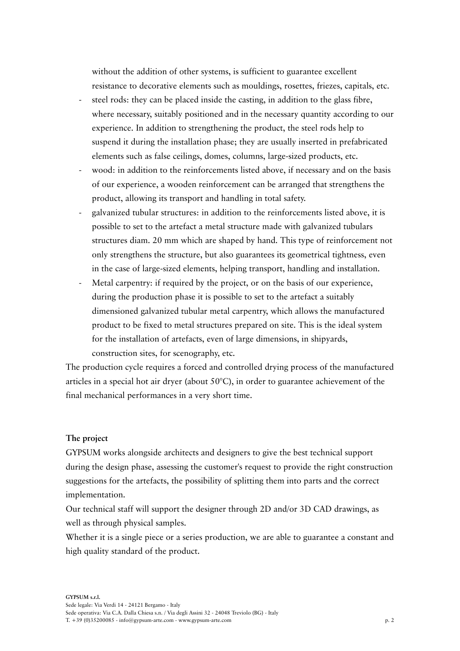without the addition of other systems, is sufficient to guarantee excellent resistance to decorative elements such as mouldings, rosettes, friezes, capitals, etc.

- steel rods: they can be placed inside the casting, in addition to the glass fibre, where necessary, suitably positioned and in the necessary quantity according to our experience. In addition to strengthening the product, the steel rods help to suspend it during the installation phase; they are usually inserted in prefabricated elements such as false ceilings, domes, columns, large-sized products, etc.
- wood: in addition to the reinforcements listed above, if necessary and on the basis of our experience, a wooden reinforcement can be arranged that strengthens the product, allowing its transport and handling in total safety.
- galvanized tubular structures: in addition to the reinforcements listed above, it is possible to set to the artefact a metal structure made with galvanized tubulars structures diam. 20 mm which are shaped by hand. This type of reinforcement not only strengthens the structure, but also guarantees its geometrical tightness, even in the case of large-sized elements, helping transport, handling and installation.
- Metal carpentry: if required by the project, or on the basis of our experience, during the production phase it is possible to set to the artefact a suitably dimensioned galvanized tubular metal carpentry, which allows the manufactured product to be fixed to metal structures prepared on site. This is the ideal system for the installation of artefacts, even of large dimensions, in shipyards, construction sites, for scenography, etc.

The production cycle requires a forced and controlled drying process of the manufactured articles in a special hot air dryer (about  $50^{\circ}$ C), in order to guarantee achievement of the final mechanical performances in a very short time.

# **The project**

GYPSUM works alongside architects and designers to give the best technical support during the design phase, assessing the customer's request to provide the right construction suggestions for the artefacts, the possibility of splitting them into parts and the correct implementation.

Our technical staff will support the designer through 2D and/or 3D CAD drawings, as well as through physical samples.

Whether it is a single piece or a series production, we are able to guarantee a constant and high quality standard of the product.